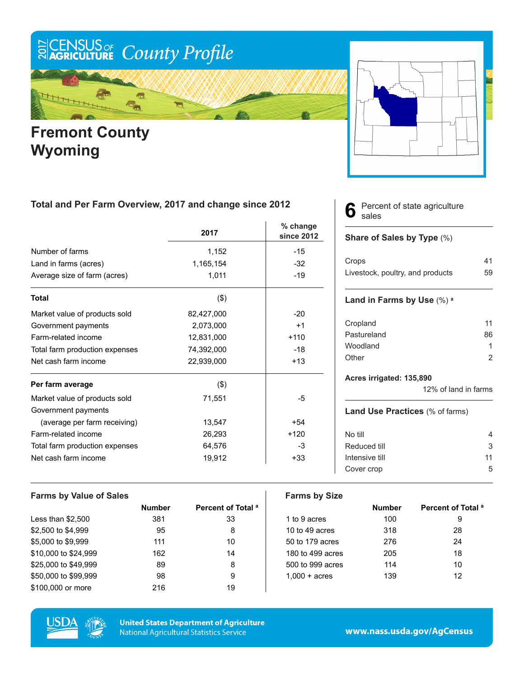

## **Fremont County Wyoming**

### **Total and Per Farm Overview, 2017 and change since 2012**

|                                | 2017       | % change<br>since 2012 |
|--------------------------------|------------|------------------------|
| Number of farms                | 1,152      | $-15$                  |
| Land in farms (acres)          | 1,165,154  | $-32$                  |
| Average size of farm (acres)   | 1,011      | $-19$                  |
| <b>Total</b>                   | $($ \$)    |                        |
| Market value of products sold  | 82,427,000 | $-20$                  |
| Government payments            | 2,073,000  | $+1$                   |
| Farm-related income            | 12,831,000 | $+110$                 |
| Total farm production expenses | 74,392,000 | $-18$                  |
| Net cash farm income           | 22,939,000 | $+13$                  |
| Per farm average               | $($ \$)    |                        |
| Market value of products sold  | 71,551     | -5                     |
| Government payments            |            |                        |
| (average per farm receiving)   | 13,547     | $+54$                  |
| Farm-related income            | 26,293     | $+120$                 |
| Total farm production expenses | 64,576     | -3                     |
| Net cash farm income           | 19,912     | $+33$                  |

#### Percent of state agriculture sales **6**

#### **Share of Sales by Type** (%)

| Crops                            | 41 |
|----------------------------------|----|
| Livestock, poultry, and products | 59 |

#### **Land in Farms by Use** (%) **<sup>a</sup>**

| Cropland    | 11 |
|-------------|----|
| Pastureland | 86 |
| Woodland    |    |
| Other       |    |

#### **Acres irrigated: 135,890**

12% of land in farms

#### **Land Use Practices** (% of farms)

| No till        | 4  |
|----------------|----|
| Reduced till   | 3  |
| Intensive till | 11 |
| Cover crop     | 5  |
|                |    |

| <b>Farms by Value of Sales</b> |               |                               | <b>Farms by Size</b>   |               |                               |
|--------------------------------|---------------|-------------------------------|------------------------|---------------|-------------------------------|
|                                | <b>Number</b> | Percent of Total <sup>a</sup> |                        | <b>Number</b> | Percent of Total <sup>a</sup> |
| Less than $$2,500$             | 381           | 33                            | 1 to 9 acres           | 100           | 9                             |
| \$2,500 to \$4,999             | 95            | 8                             | 10 to 49 acres         | 318           | 28                            |
| \$5,000 to \$9,999             | 111           | 10                            | 50 to 179 acres        | 276           | 24                            |
| \$10,000 to \$24,999           | 162           | 14                            | 180 to 499 acres       | 205           | 18                            |
| \$25,000 to \$49.999           | 89            | 8                             | 500 to 999 acres       | 114           | 10                            |
| \$50,000 to \$99,999           | 98            | 9                             | $1.000 + \text{acres}$ | 139           | 12                            |
| \$100,000 or more              | 216           | 19                            |                        |               |                               |



**United States Department of Agriculture National Agricultural Statistics Service**